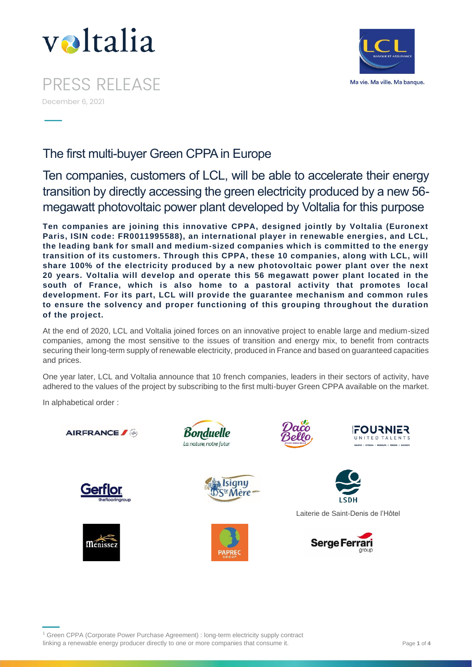

PRESS RELEASE December 6, 2021



The first multi-buyer Green CPPA in Europe

Ten companies, customers of LCL, will be able to accelerate their energy transition by directly accessing the green electricity produced by a new 56 megawatt photovoltaic power plant developed by Voltalia for this purpose

**Ten companies are joining this innovative CPPA, designed jointly by Voltalia (Euronext Paris, ISIN code: FR0011995588), an international player in renewable energies, and LCL, the leading bank for small and medium-sized companies which is committed to the energy transition of its customers. Through this CPPA, these 10 companies, along with LCL, will share 100% of the electricity produced by a new photovoltaic power plant over the next 20 years. Voltalia will develop and operate this 56 megawatt power plant located in the south of France, which is also home to a pastoral activity that promotes local development. For its part, LCL will provide the guarantee mechanism and common rules to ensure the solvency and proper functioning of this grouping throughout the duration of the project.**

At the end of 2020, LCL and Voltalia joined forces on an innovative project to enable large and medium-sized companies, among the most sensitive to the issues of transition and energy mix, to benefit from contracts securing their long-term supply of renewable electricity, produced in France and based on guaranteed capacities and prices.

One year later, LCL and Voltalia announce that 10 french companies, leaders in their sectors of activity, have adhered to the values of the project by subscribing to the first multi-buyer Green CPPA available on the market.

In alphabetical order :

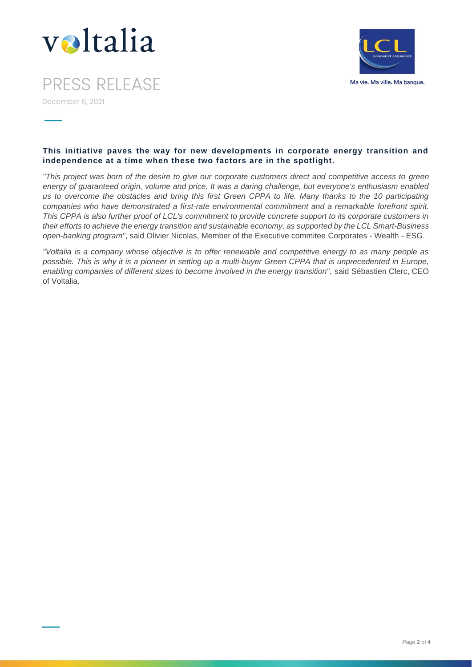



PRESS RELEASE December 6, 2021

# **This initiative paves the way for new developments in corporate energy transition and independence at a time when these two factors are in the spotlight.**

*"This project was born of the desire to give our corporate customers direct and competitive access to green energy of guaranteed origin, volume and price. It was a daring challenge, but everyone's enthusiasm enabled us to overcome the obstacles and bring this first Green CPPA to life. Many thanks to the 10 participating companies who have demonstrated a first-rate environmental commitment and a remarkable forefront spirit. This CPPA is also further proof of LCL's commitment to provide concrete support to its corporate customers in their efforts to achieve the energy transition and sustainable economy, as supported by the LCL Smart-Business open-banking program"*, said Olivier Nicolas, Member of the Executive commitee Corporates - Wealth - ESG.

*"Voltalia is a company whose objective is to offer renewable and competitive energy to as many people as possible. This is why it is a pioneer in setting up a multi-buyer Green CPPA that is unprecedented in Europe, enabling companies of different sizes to become involved in the energy transition",* said Sébastien Clerc, CEO of Voltalia.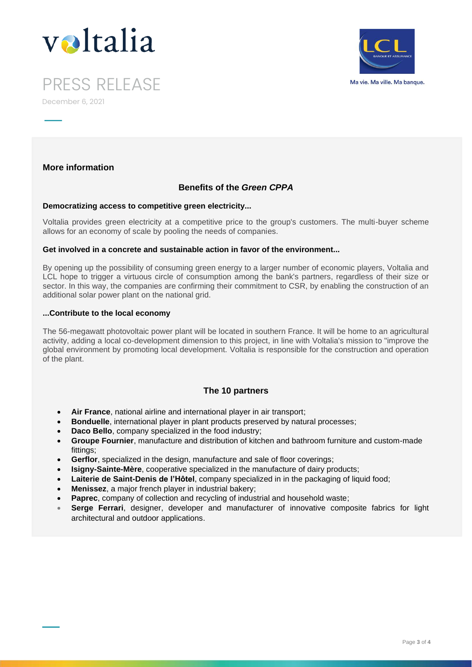



PRESS RELEASE December 6, 2021

# **More information**

# **Benefits of the** *Green CPPA*

### **Democratizing access to competitive green electricity...**

Voltalia provides green electricity at a competitive price to the group's customers. The multi-buyer scheme allows for an economy of scale by pooling the needs of companies.

## **Get involved in a concrete and sustainable action in favor of the environment...**

By opening up the possibility of consuming green energy to a larger number of economic players, Voltalia and LCL hope to trigger a virtuous circle of consumption among the bank's partners, regardless of their size or sector. In this way, the companies are confirming their commitment to CSR, by enabling the construction of an additional solar power plant on the national grid.

### **...Contribute to the local economy**

The 56-megawatt photovoltaic power plant will be located in southern France. It will be home to an agricultural activity, adding a local co-development dimension to this project, in line with Voltalia's mission to "improve the global environment by promoting local development. Voltalia is responsible for the construction and operation of the plant.

# **The 10 partners**

- **Air France**, national airline and international player in air transport;
- **Bonduelle**, international player in plant products preserved by natural processes;
- **Daco Bello**, company specialized in the food industry;
- **Groupe Fournier**, manufacture and distribution of kitchen and bathroom furniture and custom-made fittings;
- **Gerflor**, specialized in the design, manufacture and sale of floor coverings;
- **Isigny-Sainte-Mère**, cooperative specialized in the manufacture of dairy products;
- **Laiterie de Saint-Denis de l'Hôtel**, company specialized in in the packaging of liquid food;
- **Menissez**, a major french player in industrial bakery;
- **Paprec**, company of collection and recycling of industrial and household waste;
- **Serge Ferrari**, designer, developer and manufacturer of innovative composite fabrics for light architectural and outdoor applications.